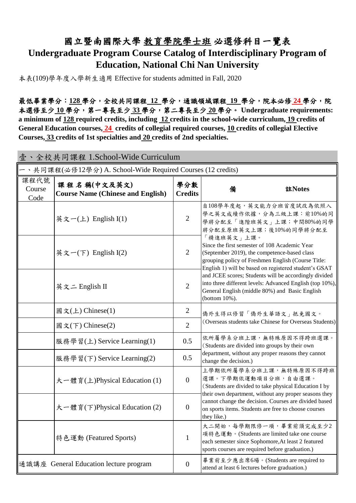## 國立暨南國際大學 教育學院學士班 必選修科目一覽表 **Undergraduate Program Course Catalog of Interdisciplinary Program of Education, National Chi Nan University**

本表(109)學年度入學新生適用 Effective for students admitted in Fall, 2020

最低畢業學分:**128** 學分,全校共同課程 **12** 學分,通識領域課程 **19** 學分,院本必修 **24** 學分,院 本選修至少 **10** 學分,第一專長至少 **33** 學分,第二專長至少 **20** 學分。 **Undergraduate requirements: a minimum of 128 required credits, including 12 credits in the school-wide curriculum, 19 credits of General Education courses, 24 credits of collegial required courses, 10 credits of collegial Elective Courses, 33 credits of 1st specialties and 20 credits of 2nd specialties.**

| 壹、全校共同課程 1.School-Wide Curriculum                          |                                                         |                       |                                                                                                                                                                                                                            |  |  |  |  |
|------------------------------------------------------------|---------------------------------------------------------|-----------------------|----------------------------------------------------------------------------------------------------------------------------------------------------------------------------------------------------------------------------|--|--|--|--|
| 、共同課程(必修12學分) A. School-Wide Required Courses (12 credits) |                                                         |                       |                                                                                                                                                                                                                            |  |  |  |  |
| 課程代號<br>Course<br>Code                                     | 課程名稱(中文及英文)<br><b>Course Name (Chinese and English)</b> | 學分數<br><b>Credits</b> | 註Notes<br>備                                                                                                                                                                                                                |  |  |  |  |
|                                                            | 英文一(上) English $I(1)$                                   | $\overline{2}$        | 自108學年度起, 英文能力分班首度試改為依照入<br>學之英文成績作依據,分為三級上課:前10%的同<br>學將分配至「進階班英文」上課;中間80%的同學<br>將分配至原班英文上課;後10%的同學將分配至                                                                                                                   |  |  |  |  |
|                                                            | 英文一(下) English $I(2)$                                   | $\overline{2}$        | 「精進班英文」上課。<br>Since the first semester of 108 Academic Year<br>(September 2019), the competence-based class<br>grouping policy of Freshmen English (Course Title:<br>English 1) will be based on registered student's GSAT |  |  |  |  |
|                                                            | 英文二 English II                                          | $\overline{2}$        | and JCEE scores; Students will be accordingly divided<br>into three different levels: Advanced English (top 10%),<br>General English (middle 80%) and Basic English<br>(bottom 10%).                                       |  |  |  |  |
|                                                            | 國文(上) Chinese(1)                                        | $\overline{2}$        | 僑外生得以修習「僑外生華語文」抵免國文。                                                                                                                                                                                                       |  |  |  |  |
|                                                            | 國文(下) Chinese(2)                                        | $\overline{2}$        | (Overseas students take Chinese for Overseas Students)                                                                                                                                                                     |  |  |  |  |
|                                                            | 服務學習(上) Service Learning(1)                             | 0.5                   | 依所屬學系分班上課,無特殊原因不得跨班選課。<br>(Students are divided into groups by their own                                                                                                                                                   |  |  |  |  |
|                                                            | 服務學習(下) Service Learning(2)                             | 0.5                   | department, without any proper reasons they cannot<br>change the decision.)                                                                                                                                                |  |  |  |  |
|                                                            | 大一體育(上)Physical Education (1)                           | $\mathbf{0}$          | 上學期依所屬學系分班上課,無特殊原因不得跨班<br>選課。下學期依運動項目分班,自由選課。<br>(Students are divided to take physical Education I by<br>their own department, without any proper seasons they                                                            |  |  |  |  |
|                                                            | 大一體育(下)Physical Education (2)                           | $\mathbf{0}$          | cannot change the decision. Courses are divided based<br>on sports items. Students are free to choose courses<br>they like.)                                                                                               |  |  |  |  |
|                                                            | 特色運動 (Featured Sports)                                  | 1                     | 大二開始,每學期限修一項,畢業前須完成至少2<br>項特色運動。(Students are limited take one course<br>each semester since Sophomore, At least 2 featured<br>sports courses are required before graduation.)                                             |  |  |  |  |
|                                                            | 通識講座 General Education lecture program                  | $\boldsymbol{0}$      | 畢業前至少應出席6場。(Students are required to<br>attend at least 6 lectures before graduation.)                                                                                                                                     |  |  |  |  |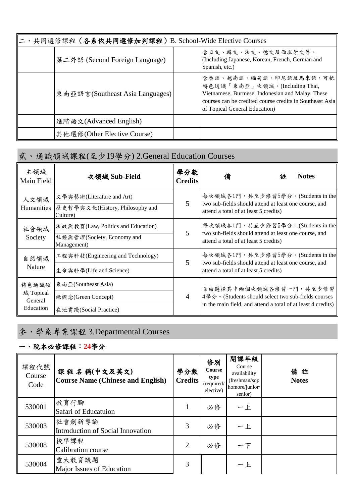| 、共同選修課程(各系依共同選修加列課程) B. School-Wide Elective Courses |  |                                                                                                                                                                                                          |  |  |  |  |
|------------------------------------------------------|--|----------------------------------------------------------------------------------------------------------------------------------------------------------------------------------------------------------|--|--|--|--|
| 第二外語 (Second Foreign Language)                       |  | 含日文、韓文、法文、德文及西班牙文等。<br>(Including Japanese, Korean, French, German and<br>Spanish, etc.)                                                                                                                 |  |  |  |  |
| 東南亞語言(Southeast Asia Languages)                      |  | 含泰語、越南語、緬甸語、印尼語及馬來語,可抵<br>特色通識「東南亞」次領域。(Including Thai,<br>Vietnamese, Burmese, Indonesian and Malay. These<br>courses can be credited course credits in Southeast Asia<br>of Topical General Education) |  |  |  |  |
| 進階語文(Advanced English)                               |  |                                                                                                                                                                                                          |  |  |  |  |
| 其他選修(Other Elective Course)                          |  |                                                                                                                                                                                                          |  |  |  |  |

# 貳、通識領域課程(至少19學分) 2.General Education Courses

| 主領域<br>Main Field    | 次領域 Sub-Field                               | 學分數<br><b>Credits</b>             | 備                                                                                                                                            | 註 | <b>Notes</b> |  |  |  |
|----------------------|---------------------------------------------|-----------------------------------|----------------------------------------------------------------------------------------------------------------------------------------------|---|--------------|--|--|--|
| 人文領域                 | 文學與藝術(Literature and Art)                   |                                   | 每次領域各1門,共至少修習5學分。(Students in the                                                                                                            |   |              |  |  |  |
| Humanities           | 歷史哲學與文化(History, Philosophy and<br>Culture) | 5                                 | two sub-fields should attend at least one course, and<br>attend a total of at least 5 credits)                                               |   |              |  |  |  |
| 社會領域                 | 法政與教育(Law, Politics and Education)          |                                   | 每次領域各1門,共至少修習5學分。(Students in the                                                                                                            |   |              |  |  |  |
| Society              | 社經與管理(Society, Economy and<br>Management)   | 5                                 | two sub-fields should attend at least one course, and<br>attend a total of at least 5 credits)                                               |   |              |  |  |  |
| 自然領域                 | 工程與科技(Engineering and Technology)           | 每次領域各1門,共至少修習5學分。(Students in the |                                                                                                                                              |   |              |  |  |  |
| Nature               | 生命與科學(Life and Science)                     | 5                                 | two sub-fields should attend at least one course, and<br>attend a total of at least 5 credits)                                               |   |              |  |  |  |
| 特色通識領                | 東南亞(Southeast Asia)                         |                                   | 自由選擇其中兩個次領域各修習一門,共至少修習<br>4學分。(Students should select two sub-fields courses<br>in the main field, and attend a total of at least 4 credits) |   |              |  |  |  |
| 域 Topical<br>General | 綠概念(Green Concept)                          | $\overline{4}$                    |                                                                                                                                              |   |              |  |  |  |
| Education            | 在地實踐(Social Practice)                       |                                   |                                                                                                                                              |   |              |  |  |  |

## 參、學系專業課程 3.Departmental Courses

## 一、院本必修課程:**24**學分

| 課程代號<br>Course<br>Code | 課程名稱(中文及英文)<br><b>Course Name (Chinese and English)</b> | 學分數<br><b>Credits</b> | 修別<br>Course<br>type<br>(required/<br>elective) | 開課年級<br>Course<br>availability<br>(freshman/sop<br>homore/junior/<br>senior) | 備註<br><b>Notes</b> |
|------------------------|---------------------------------------------------------|-----------------------|-------------------------------------------------|------------------------------------------------------------------------------|--------------------|
| 530001                 | 教育行腳<br>Safari of Educatuion                            | 1                     | 必修                                              | 一上                                                                           |                    |
| 530003                 | 社會創新導論<br>Introduction of Social Innovation             | 3                     | 必修                                              | 一上                                                                           |                    |
| 530008                 | 校準課程<br>Calibration course                              | 2                     | 必修                                              | 一下                                                                           |                    |
| 530004                 | 重大教育議題<br>Major Issues of Education                     | 3                     |                                                 | 一上                                                                           |                    |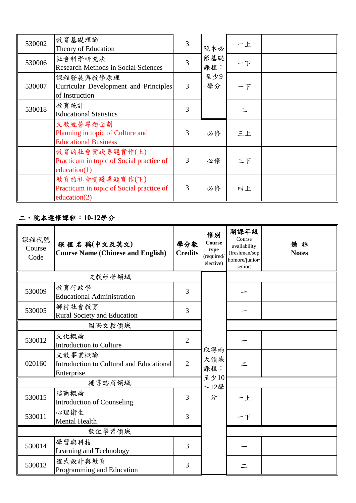| 530002 | 教育基礎理論<br>Theory of Education                                                 | 3 | 院本必        | 一上   |  |
|--------|-------------------------------------------------------------------------------|---|------------|------|--|
| 530006 | 社會科學研究法<br><b>Research Methods in Social Sciences</b>                         | 3 | 修基礎<br>課程: | $ T$ |  |
| 530007 | 课程發展與教學原理<br>Curricular Development and Principles<br>of Instruction          | 3 | 至少9<br>學分  | 一下   |  |
| 530018 | 教育統計<br><b>Educational Statistics</b>                                         | 3 |            | 三    |  |
|        | 文教經營專題企劃<br>Planning in topic of Culture and<br><b>Educational Business</b>   | 3 | 必修         | 三上   |  |
|        | 教育的社會實踐專題實作(上)<br>Practicum in topic of Social practice of<br>education(1)    | 3 | 必修         | 三下   |  |
|        | 教育的社會實踐專題實作(下)<br>Practicum in topic of Social practice of<br>education $(2)$ | 3 | 必修         | 四上   |  |

### 二、院本選修課程:**10-12**學分

| 課程代號<br>Course<br>Code | 課程名稱(中文及英文)<br><b>Course Name (Chinese and English)</b>          | 學分數<br><b>Credits</b> | 修別<br>Course<br>type<br>(required/<br>elective) | 開課年級<br>Course<br>availability<br>(freshman/sop<br>homore/junior/<br>senior) | 備註<br><b>Notes</b> |
|------------------------|------------------------------------------------------------------|-----------------------|-------------------------------------------------|------------------------------------------------------------------------------|--------------------|
|                        | 文教經營領域                                                           |                       |                                                 |                                                                              |                    |
| 530009                 | 教育行政學<br><b>Educational Administration</b>                       | 3                     |                                                 |                                                                              |                    |
| 530005                 | 鄉村社會教育<br>Rural Society and Education                            | 3                     |                                                 |                                                                              |                    |
|                        | 國際文教領域                                                           |                       |                                                 |                                                                              |                    |
| 530012                 | 文化概論<br><b>Introduction to Culture</b>                           | $\overline{2}$        |                                                 |                                                                              |                    |
| 020160                 | 文教事業概論<br>Introduction to Cultural and Educational<br>Enterprise | $\overline{2}$        | 取得兩<br>大領域<br>課程:                               |                                                                              |                    |
|                        | 輔導諮商領域                                                           |                       | 至少10<br>$~12$ 學                                 |                                                                              |                    |
| 530015                 | 諮商概論<br><b>Introduction of Counseling</b>                        | 3                     | 分                                               | 一上                                                                           |                    |
| 530011                 | 心理衛生<br><b>Mental Health</b>                                     | 3                     |                                                 | 一下                                                                           |                    |
| 數位學習領域                 |                                                                  |                       |                                                 |                                                                              |                    |
| 530014                 | 學習與科技<br>Learning and Technology                                 | 3                     |                                                 |                                                                              |                    |
| 530013                 | 程式設計與教育<br>Programming and Education                             | 3                     |                                                 |                                                                              |                    |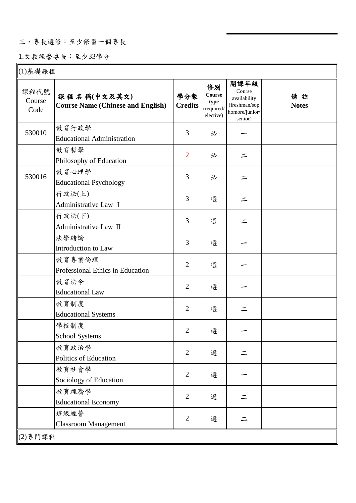### 三、專長選修:至少修習一個專長

### 1.文教經營專長:至少33學分

| (1)基礎課程                |                                                         |                       |                                                 |                                                                              |                    |  |  |
|------------------------|---------------------------------------------------------|-----------------------|-------------------------------------------------|------------------------------------------------------------------------------|--------------------|--|--|
| 課程代號<br>Course<br>Code | 課程名稱(中文及英文)<br><b>Course Name (Chinese and English)</b> | 學分數<br><b>Credits</b> | 修別<br>Course<br>type<br>(required/<br>elective) | 開課年級<br>Course<br>availability<br>(freshman/sop<br>homore/junior/<br>senior) | 備註<br><b>Notes</b> |  |  |
| 530010                 | 教育行政學<br><b>Educational Administration</b>              | 3                     | 必                                               |                                                                              |                    |  |  |
|                        | 教育哲學<br>Philosophy of Education                         | $\overline{2}$        | 必                                               |                                                                              |                    |  |  |
| 530016                 | 教育心理學<br><b>Educational Psychology</b>                  | 3                     | 必                                               |                                                                              |                    |  |  |
|                        | 行政法(上)<br>Administrative Law I                          | 3                     | 選                                               |                                                                              |                    |  |  |
|                        | 行政法(下)<br>Administrative Law II                         | 3                     | 選                                               |                                                                              |                    |  |  |
|                        | 法學緒論<br>Introduction to Law                             | 3                     | 選                                               |                                                                              |                    |  |  |
|                        | 教育專業倫理<br>Professional Ethics in Education              | $\overline{2}$        | 選                                               |                                                                              |                    |  |  |
|                        | 教育法令<br><b>Educational Law</b>                          | $\overline{2}$        | 選                                               |                                                                              |                    |  |  |
|                        | 教育制度<br><b>Educational Systems</b>                      | $\overline{2}$        | 選                                               |                                                                              |                    |  |  |
|                        | 學校制度<br>School Systems                                  | $\overline{2}$        | 選                                               |                                                                              |                    |  |  |
|                        | 教育政治學<br>Politics of Education                          | $\overline{2}$        | 選                                               |                                                                              |                    |  |  |
|                        | 教育社會學<br>Sociology of Education                         | $\overline{2}$        | 選                                               |                                                                              |                    |  |  |
|                        | 教育經濟學<br><b>Educational Economy</b>                     | $\overline{2}$        | 選                                               |                                                                              |                    |  |  |
|                        | 班級經營<br><b>Classroom Management</b>                     | $\overline{2}$        | 選                                               |                                                                              |                    |  |  |
|                        | (2)專門課程                                                 |                       |                                                 |                                                                              |                    |  |  |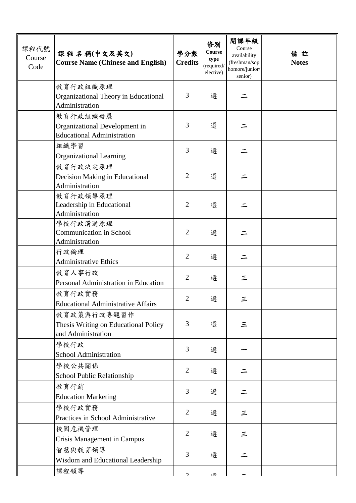| 課程代號<br>Course<br>Code | 課程名稱(中文及英文)<br><b>Course Name (Chinese and English)</b>                        | 學分數<br><b>Credits</b> | 修別<br>Course<br>type<br>(required/<br>elective) | 開課年級<br>Course<br>availability<br>(freshman/sop<br>homore/junior/<br>senior) | 備註<br><b>Notes</b> |
|------------------------|--------------------------------------------------------------------------------|-----------------------|-------------------------------------------------|------------------------------------------------------------------------------|--------------------|
|                        | 教育行政組織原理<br>Organizational Theory in Educational<br>Administration             | 3                     | 選                                               |                                                                              |                    |
|                        | 教育行政組織發展<br>Organizational Development in<br><b>Educational Administration</b> | 3                     | 選                                               |                                                                              |                    |
|                        | 組織學習<br><b>Organizational Learning</b>                                         | 3                     | 選                                               |                                                                              |                    |
|                        | 教育行政決定原理<br>Decision Making in Educational<br>Administration                   | $\overline{2}$        | 選                                               |                                                                              |                    |
|                        | 教育行政領導原理<br>Leadership in Educational<br>Administration                        | $\overline{2}$        | 選                                               |                                                                              |                    |
|                        | 學校行政溝通原理<br><b>Communication in School</b><br>Administration                   | $\overline{2}$        | 選                                               |                                                                              |                    |
|                        | 行政倫理<br><b>Administrative Ethics</b>                                           | $\overline{2}$        | 選                                               |                                                                              |                    |
|                        | 教育人事行政<br>Personal Administration in Education                                 | $\overline{2}$        | 選                                               | 三                                                                            |                    |
|                        | 教育行政實務<br><b>Educational Administrative Affairs</b>                            | $\overline{c}$        | 選                                               | 三                                                                            |                    |
|                        | 教育政策與行政專題習作<br>Thesis Writing on Educational Policy<br>and Administration      | 3                     | 選                                               | 三                                                                            |                    |
|                        | 學校行政<br>School Administration                                                  | 3                     | 選                                               |                                                                              |                    |
|                        | 學校公共關係<br>School Public Relationship                                           | $\overline{2}$        | 選                                               |                                                                              |                    |
|                        | 教育行銷<br><b>Education Marketing</b>                                             | 3                     | 選                                               |                                                                              |                    |
|                        | 學校行政實務<br>Practices in School Administrative                                   | $\overline{2}$        | 選                                               | 三                                                                            |                    |
|                        | 校園危機管理<br><b>Crisis Management in Campus</b>                                   | $\overline{2}$        | 選                                               | 三                                                                            |                    |
|                        | 智慧與教育領導<br>Wisdom and Educational Leadership                                   | 3                     | 選                                               |                                                                              |                    |
|                        | 課程領導                                                                           | $\mathcal{L}$         | 理                                               |                                                                              |                    |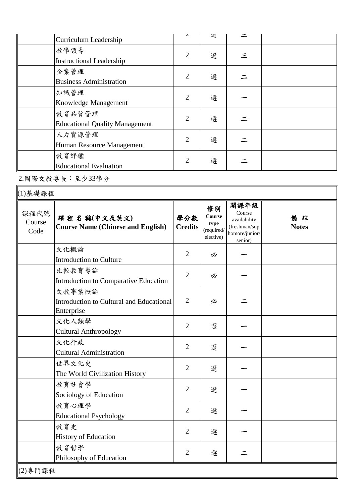| Curriculum Leadership                 |                | 迗 |   |  |
|---------------------------------------|----------------|---|---|--|
| 教學領導                                  | $\overline{2}$ | 選 |   |  |
| <b>Instructional Leadership</b>       |                |   | 三 |  |
| 企業管理                                  | $\overline{2}$ | 選 |   |  |
| <b>Business Administration</b>        |                |   |   |  |
| 知識管理                                  | $\overline{2}$ | 選 |   |  |
| Knowledge Management                  |                |   |   |  |
| 教育品質管理                                | $\overline{2}$ | 選 |   |  |
| <b>Educational Quality Management</b> |                |   |   |  |
| 人力資源管理                                | $\overline{2}$ |   |   |  |
| Human Resource Management             |                | 選 |   |  |
| 教育評鑑                                  | $\overline{2}$ | 選 |   |  |
| <b>Educational Evaluation</b>         |                |   |   |  |

2.國際文教專長:至少33學分

| (1)基礎課程                |                                                                  |                       |                                                        |                                                                              |                    |  |  |
|------------------------|------------------------------------------------------------------|-----------------------|--------------------------------------------------------|------------------------------------------------------------------------------|--------------------|--|--|
| 課程代號<br>Course<br>Code | 課程名稱(中文及英文)<br><b>Course Name (Chinese and English)</b>          | 學分數<br><b>Credits</b> | 修別<br><b>Course</b><br>type<br>(required/<br>elective) | 開課年級<br>Course<br>availability<br>(freshman/sop<br>homore/junior/<br>senior) | 備註<br><b>Notes</b> |  |  |
|                        | 文化概論<br>Introduction to Culture                                  | $\overline{2}$        | 必                                                      |                                                                              |                    |  |  |
|                        | 比較教育導論<br>Introduction to Comparative Education                  | $\overline{2}$        | 必                                                      |                                                                              |                    |  |  |
|                        | 文教事業概論<br>Introduction to Cultural and Educational<br>Enterprise | $\overline{2}$        | 必                                                      |                                                                              |                    |  |  |
|                        | 文化人類學<br><b>Cultural Anthropology</b>                            | $\overline{2}$        | 選                                                      |                                                                              |                    |  |  |
|                        | 文化行政<br><b>Cultural Administration</b>                           | $\overline{2}$        | 選                                                      |                                                                              |                    |  |  |
|                        | 世界文化史<br>The World Civilization History                          | $\overline{2}$        | 選                                                      |                                                                              |                    |  |  |
|                        | 教育社會學<br>Sociology of Education                                  | $\overline{2}$        | 選                                                      |                                                                              |                    |  |  |
|                        | 教育心理學<br><b>Educational Psychology</b>                           | $\overline{2}$        | 選                                                      |                                                                              |                    |  |  |
|                        | 教育史<br><b>History of Education</b>                               | $\overline{2}$        | 選                                                      |                                                                              |                    |  |  |
|                        | 教育哲學<br>Philosophy of Education                                  | $\overline{2}$        | 選                                                      |                                                                              |                    |  |  |
| (2)專門課程                |                                                                  |                       |                                                        |                                                                              |                    |  |  |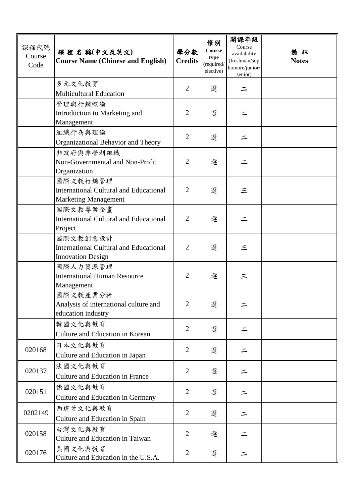| 課程代號<br>Course<br>Code | 課程名稱(中文及英文)<br><b>Course Name (Chinese and English)</b>                                  | 學分數<br><b>Credits</b> | 修別<br>Course<br>type<br>(required/<br>elective) | 開課年級<br>Course<br>availability<br>(freshman/sop<br>homore/junior/<br>senior) | 備註<br><b>Notes</b> |
|------------------------|------------------------------------------------------------------------------------------|-----------------------|-------------------------------------------------|------------------------------------------------------------------------------|--------------------|
|                        | 多元文化教育<br><b>Multicultural Education</b>                                                 | $\overline{2}$        | 選                                               |                                                                              |                    |
|                        | 管理與行銷概論<br>Introduction to Marketing and<br>Management                                   | $\overline{2}$        | 選                                               |                                                                              |                    |
|                        | 組織行為與理論<br>Organizational Behavior and Theory                                            | $\overline{2}$        | 選                                               |                                                                              |                    |
|                        | 非政府與非營利組織<br>Non-Governmental and Non-Profit<br>Organization                             | $\overline{2}$        | 選                                               |                                                                              |                    |
|                        | 國際文教行銷管理<br><b>International Cultural and Educational</b><br><b>Marketing Management</b> | $\overline{2}$        | 選                                               | 三                                                                            |                    |
|                        | 國際文教專案企畫<br><b>International Cultural and Educational</b><br>Project                     | $\overline{2}$        | 選                                               |                                                                              |                    |
|                        | 國際文教創意設計<br><b>International Cultural and Educational</b><br><b>Innovation Design</b>    | $\overline{2}$        | 選                                               | 三                                                                            |                    |
|                        | 國際人力資源管理<br><b>International Human Resource</b><br>Management                            | $\overline{2}$        | 選                                               | 三                                                                            |                    |
|                        | 國際文教產業分析<br>Analysis of international culture and<br>education industry                  | 2                     | 選                                               |                                                                              |                    |
|                        | 韓國文化與教育<br>Culture and Education in Korean                                               | $\overline{2}$        | 選                                               |                                                                              |                    |
| 020168                 | 日本文化與教育<br>Culture and Education in Japan                                                | 2                     | 選                                               |                                                                              |                    |
| 020137                 | 法國文化與教育<br><b>Culture and Education in France</b>                                        | $\overline{2}$        | 選                                               |                                                                              |                    |
| 020151                 | 德國文化與教育<br>Culture and Education in Germany                                              | $\overline{2}$        | 選                                               |                                                                              |                    |
| 0202149                | 西班牙文化與教育<br>Culture and Education in Spain                                               | $\overline{2}$        | 選                                               |                                                                              |                    |
| 020158                 | 台灣文化與教育<br>Culture and Education in Taiwan                                               | $\overline{2}$        | 選                                               |                                                                              |                    |
| 020176                 | 美國文化與教育<br>Culture and Education in the U.S.A.                                           | $\overline{2}$        | 選                                               |                                                                              |                    |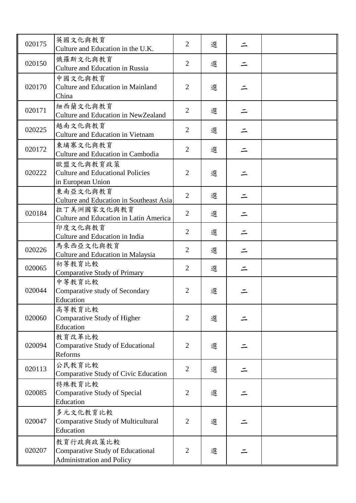| 020175 | 英國文化與教育<br>Culture and Education in the U.K.                                             | $\overline{2}$ | 選 |  |
|--------|------------------------------------------------------------------------------------------|----------------|---|--|
| 020150 | 俄羅斯文化與教育<br><b>Culture and Education in Russia</b>                                       | $\overline{2}$ | 選 |  |
| 020170 | 中國文化與教育<br><b>Culture and Education in Mainland</b><br>China                             | $\overline{2}$ | 選 |  |
| 020171 | 紐西蘭文化與教育<br><b>Culture and Education in NewZealand</b>                                   | $\overline{2}$ | 選 |  |
| 020225 | 越南文化與教育<br><b>Culture and Education in Vietnam</b>                                       | $\overline{2}$ | 選 |  |
| 020172 | 柬埔寨文化與教育<br>Culture and Education in Cambodia                                            | $\overline{2}$ | 選 |  |
| 020222 | 歐盟文化與教育政策<br><b>Culture and Educational Policies</b><br>in European Union                | $\overline{2}$ | 選 |  |
|        | 東南亞文化與教育<br>Culture and Education in Southeast Asia                                      | 2              | 選 |  |
| 020184 | 拉丁美洲國家文化與教育<br><b>Culture and Education in Latin America</b>                             | $\overline{2}$ | 選 |  |
|        | 印度文化與教育<br>Culture and Education in India                                                | $\overline{2}$ | 選 |  |
| 020226 | 馬來西亞文化與教育<br>Culture and Education in Malaysia                                           | $\overline{2}$ | 選 |  |
| 020065 | 初等教育比較<br><b>Comparative Study of Primary</b>                                            | $\overline{2}$ | 選 |  |
| 020044 | 中等教育比較<br>Comparative study of Secondary<br>Education                                    | $\overline{2}$ | 選 |  |
| 020060 | 高等教育比較<br>Comparative Study of Higher<br>Education                                       | $\overline{2}$ | 選 |  |
| 020094 | 教育改革比較<br><b>Comparative Study of Educational</b><br>Reforms                             | $\overline{2}$ | 選 |  |
| 020113 | 公民教育比較<br>Comparative Study of Civic Education                                           | $\overline{2}$ | 選 |  |
| 020085 | 特殊教育比較<br>Comparative Study of Special<br>Education                                      | $\overline{2}$ | 選 |  |
| 020047 | 多元文化教育比較<br><b>Comparative Study of Multicultural</b><br>Education                       | $\overline{2}$ | 選 |  |
| 020207 | 教育行政與政策比較<br><b>Comparative Study of Educational</b><br><b>Administration and Policy</b> | $\overline{2}$ | 選 |  |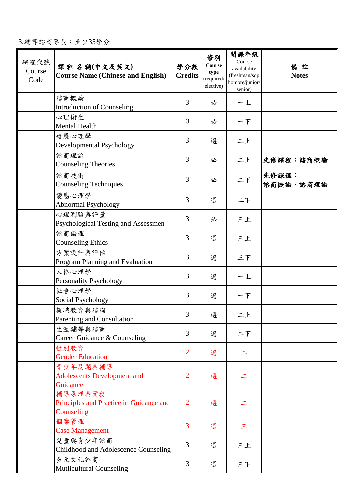| 課程代號<br>Course<br>Code | 課程名稱(中文及英文)<br><b>Course Name (Chinese and English)</b>          | 學分數<br><b>Credits</b> | 修別<br>Course<br>type<br>(required/<br>elective) | 開課年級<br>Course<br>availability<br>(freshman/sop<br>homore/junior/<br>senior) | 備註<br><b>Notes</b> |
|------------------------|------------------------------------------------------------------|-----------------------|-------------------------------------------------|------------------------------------------------------------------------------|--------------------|
|                        | 諮商概論<br><b>Introduction of Counseling</b>                        | 3                     | 必                                               | 一上                                                                           |                    |
|                        | 心理衛生<br><b>Mental Health</b>                                     | 3                     | 必                                               | $ F$                                                                         |                    |
|                        | 發展心理學<br>Developmental Psychology                                | 3                     | 選                                               | 二上                                                                           |                    |
|                        | 諮商理論<br><b>Counseling Theories</b>                               | 3                     | 必                                               | 二上                                                                           | 先修課程:諮商概論          |
|                        | 諮商技術<br><b>Counseling Techniques</b>                             | 3                     | 必                                               | 二下                                                                           | 先修課程:<br>諮商概論、諮商理論 |
|                        | 變態心理學<br>Abnormal Psychology                                     | 3                     | 選                                               | 二下                                                                           |                    |
|                        | 心理測驗與評量<br>Psychological Testing and Assessmen                   | 3                     | 必                                               | 三上                                                                           |                    |
|                        | 諮商倫理<br><b>Counseling Ethics</b>                                 | 3                     | 選                                               | 三上                                                                           |                    |
|                        | 方案設計與評估<br>Program Planning and Evaluation                       | 3                     | 選                                               | 三下                                                                           |                    |
|                        | 人格心理學<br><b>Personality Psychology</b>                           | 3                     | 選                                               | 一上                                                                           |                    |
|                        | 社會心理學<br>Social Psychology                                       | 3                     | 選                                               | 一下                                                                           |                    |
|                        | 親職教育與諮詢<br>Parenting and Consultation                            | 3                     | 選                                               | 二上                                                                           |                    |
|                        | 生涯輔導與諮商<br>Career Guidance & Counseling                          | 3                     | 選                                               | 二下                                                                           |                    |
|                        | 性別教育<br><b>Gender Education</b>                                  | $\overline{2}$        | 選                                               |                                                                              |                    |
|                        | 青少年問題與輔導<br><b>Adolescents Development and</b><br>Guidance       | $\overline{2}$        | 選                                               |                                                                              |                    |
|                        | 輔導原理與實務<br>Principles and Practice in Guidance and<br>Counseling | 2                     | 選                                               |                                                                              |                    |
|                        | 個案管理<br><b>Case Management</b>                                   | 3                     | 選                                               | $\leq$                                                                       |                    |
|                        | 兒童與青少年諮商<br>Childhood and Adolescence Counseling                 | 3                     | 選                                               | 三上                                                                           |                    |

Τ

|タルメル諮問<br>|Mutlicultural Counseling | 3 | 選 | 三下

3.輔導諮商專長:至少35學分

多元文化諮商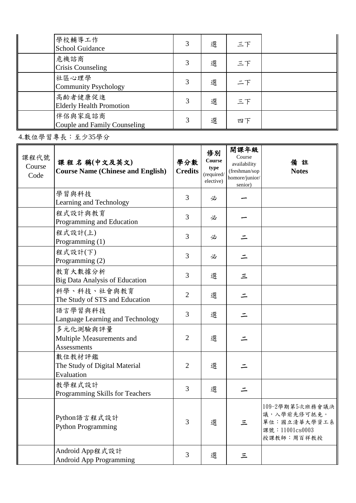| 學校輔導工作<br><b>School Guidance</b>           | 3 | 選 | 三下 |  |
|--------------------------------------------|---|---|----|--|
| 危機諮商<br><b>Crisis Counseling</b>           | 3 | 選 | 三下 |  |
| 社區心理學<br><b>Community Psychology</b>       | 3 | 選 | 二下 |  |
| 高齡者健康促進<br><b>Elderly Health Promotion</b> | 3 | 選 | 三下 |  |
| 伴侶與家庭諮商<br>Couple and Family Counseling    | 3 | 選 | 四下 |  |

4.數位學習專長:至少35學分

| 課程代號<br>Course<br>Code | 課程名稱(中文及英文)<br><b>Course Name (Chinese and English)</b>     | 學分數<br><b>Credits</b> | 修別<br>Course<br>type<br>(required/<br>elective) | 開課年級<br>Course<br>availability<br>(freshman/sop<br>homore/junior/<br>senior) | 備<br>註<br><b>Notes</b>                                                          |
|------------------------|-------------------------------------------------------------|-----------------------|-------------------------------------------------|------------------------------------------------------------------------------|---------------------------------------------------------------------------------|
|                        | 學習與科技<br>Learning and Technology                            | 3                     | 必                                               |                                                                              |                                                                                 |
|                        | 程式設計與教育<br>Programming and Education                        | 3                     | 必                                               |                                                                              |                                                                                 |
|                        | 程式設計(上)<br>Programming (1)                                  | 3                     | 必                                               |                                                                              |                                                                                 |
|                        | 程式設計(下)<br>Programming (2)                                  | 3                     | 必                                               |                                                                              |                                                                                 |
|                        | 教育大數據分析<br><b>Big Data Analysis of Education</b>            | 3                     | 選                                               | 三                                                                            |                                                                                 |
|                        | 科學、科技、社會與教育<br>The Study of STS and Education               | $\overline{2}$        | 選                                               |                                                                              |                                                                                 |
|                        | 語言學習與科技<br>Language Learning and Technology                 | 3                     | 選                                               |                                                                              |                                                                                 |
|                        | 多元化測驗與評量<br>Multiple Measurements and<br><b>Assessments</b> | $\overline{2}$        | 選                                               |                                                                              |                                                                                 |
|                        | 數位教材評鑑<br>The Study of Digital Material<br>Evaluation       | $\overline{2}$        | 選                                               |                                                                              |                                                                                 |
|                        | 教學程式設計<br>Programming Skills for Teachers                   | 3                     | 選                                               |                                                                              |                                                                                 |
|                        | Python語言程式設計<br><b>Python Programming</b>                   | 3                     | 選                                               | 三                                                                            | 109-2學期第5次班務會議決<br>議,入學前先修可抵免。<br>單位:國立清華大學資工系<br>課號: 11001cs0003<br>授課教師:周百祥教授 |
|                        | Android App程式設計<br><b>Android App Programming</b>           | 3                     | 選                                               | $\equiv$                                                                     |                                                                                 |